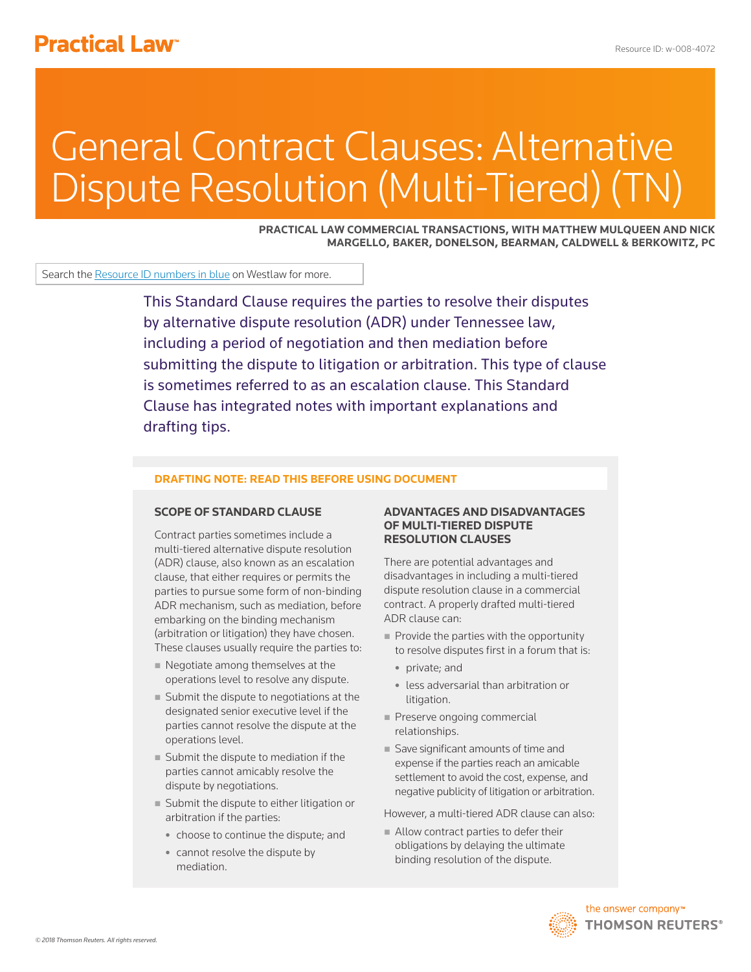# **Practical Law<sup>®</sup>**

# General Contract Clauses: Alternative Dispute Resolution (Multi-Tiered) (T

**PRACTICAL LAW COMMERCIAL TRANSACTIONS, WITH MATTHEW MULQUEEN AND NICK MARGELLO, BAKER, DONELSON, BEARMAN, CALDWELL & BERKOWITZ, PC**

Search the Resource ID numbers in blue on Westlaw for more.

This Standard Clause requires the parties to resolve their disputes by alternative dispute resolution (ADR) under Tennessee law, including a period of negotiation and then mediation before submitting the dispute to litigation or arbitration. This type of clause is sometimes referred to as an escalation clause. This Standard Clause has integrated notes with important explanations and drafting tips.

#### **DRAFTING NOTE: READ THIS BEFORE USING DOCUMENT**

#### **SCOPE OF STANDARD CLAUSE**

Contract parties sometimes include a multi-tiered alternative dispute resolution (ADR) clause, also known as an escalation clause, that either requires or permits the parties to pursue some form of non-binding ADR mechanism, such as mediation, before embarking on the binding mechanism (arbitration or litigation) they have chosen. These clauses usually require the parties to:

- Negotiate among themselves at the operations level to resolve any dispute.
- Submit the dispute to negotiations at the designated senior executive level if the parties cannot resolve the dispute at the operations level.
- Submit the dispute to mediation if the parties cannot amicably resolve the dispute by negotiations.
- Submit the dispute to either litigation or arbitration if the parties:
	- choose to continue the dispute; and
	- $\bullet$  cannot resolve the dispute by mediation.

#### **ADVANTAGES AND DISADVANTAGES OF MULTI-TIERED DISPUTE RESOLUTION CLAUSES**

There are potential advantages and disadvantages in including a multi-tiered dispute resolution clause in a commercial contract. A properly drafted multi-tiered ADR clause can:

- $\blacksquare$  Provide the parties with the opportunity to resolve disputes first in a forum that is:
	- private; and
	- less adversarial than arbitration or litigation.
- Preserve ongoing commercial relationships.
- Save significant amounts of time and expense if the parties reach an amicable settlement to avoid the cost, expense, and negative publicity of litigation or arbitration.

However, a multi-tiered ADR clause can also:

Allow contract parties to defer their obligations by delaying the ultimate binding resolution of the dispute.

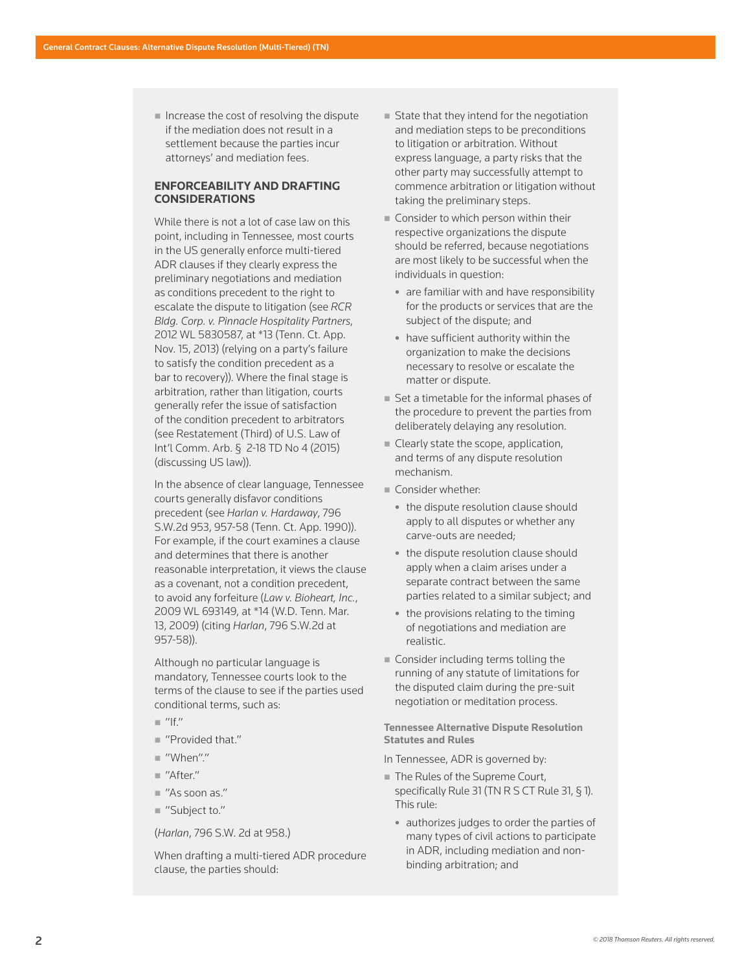$\blacksquare$  Increase the cost of resolving the dispute if the mediation does not result in a settlement because the parties incur attorneys' and mediation fees.

### **ENFORCEABILITY AND DRAFTING CONSIDERATIONS**

While there is not a lot of case law on this point, including in Tennessee, most courts in the US generally enforce multi-tiered ADR clauses if they clearly express the preliminary negotiations and mediation as conditions precedent to the right to escalate the dispute to litigation (see *RCR Bldg. Corp. v. Pinnacle Hospitality Partners*, 2012 WL 5830587, at \*13 (Tenn. Ct. App. Nov. 15, 2013) (relying on a party's failure to satisfy the condition precedent as a bar to recovery)). Where the final stage is arbitration, rather than litigation, courts generally refer the issue of satisfaction of the condition precedent to arbitrators (see Restatement (Third) of U.S. Law of Int'l Comm. Arb. § 2-18 TD No 4 (2015) (discussing US law)).

In the absence of clear language, Tennessee courts generally disfavor conditions precedent (see *Harlan v. Hardaway*, 796 S.W.2d 953, 957-58 (Tenn. Ct. App. 1990)). For example, if the court examines a clause and determines that there is another reasonable interpretation, it views the clause as a covenant, not a condition precedent, to avoid any forfeiture (*Law v. Bioheart, Inc.*, 2009 WL 693149, at \*14 (W.D. Tenn. Mar. 13, 2009) (citing *Harlan*, 796 S.W.2d at 957-58)).

Although no particular language is mandatory, Tennessee courts look to the terms of the clause to see if the parties used conditional terms, such as:

- $\mathbb{I}$  "If."
- "Provided that."
- "When"."
- $M'$ After"
- "As soon as."
- "Subject to."

(*Harlan*, 796 S.W. 2d at 958.)

When drafting a multi-tiered ADR procedure clause, the parties should:

- State that they intend for the negotiation and mediation steps to be preconditions to litigation or arbitration. Without express language, a party risks that the other party may successfully attempt to commence arbitration or litigation without taking the preliminary steps.
- Consider to which person within their respective organizations the dispute should be referred, because negotiations are most likely to be successful when the individuals in question:
	- $\bullet$  are familiar with and have responsibility for the products or services that are the subject of the dispute; and
	- $\bullet$  have sufficient authority within the organization to make the decisions necessary to resolve or escalate the matter or dispute.
- Set a timetable for the informal phases of the procedure to prevent the parties from deliberately delaying any resolution.
- Clearly state the scope, application, and terms of any dispute resolution mechanism.
- Consider whether:
	- the dispute resolution clause should apply to all disputes or whether any carve-outs are needed;
	- the dispute resolution clause should apply when a claim arises under a separate contract between the same parties related to a similar subject; and
	- $\bullet$  the provisions relating to the timing of negotiations and mediation are realistic.
- **Consider including terms tolling the** running of any statute of limitations for the disputed claim during the pre-suit negotiation or meditation process.

**Tennessee Alternative Dispute Resolution Statutes and Rules**

In Tennessee, ADR is governed by:

- The Rules of the Supreme Court, specifically Rule 31 (TN R S CT Rule 31, § 1). This rule:
	- authorizes judges to order the parties of many types of civil actions to participate in ADR, including mediation and nonbinding arbitration; and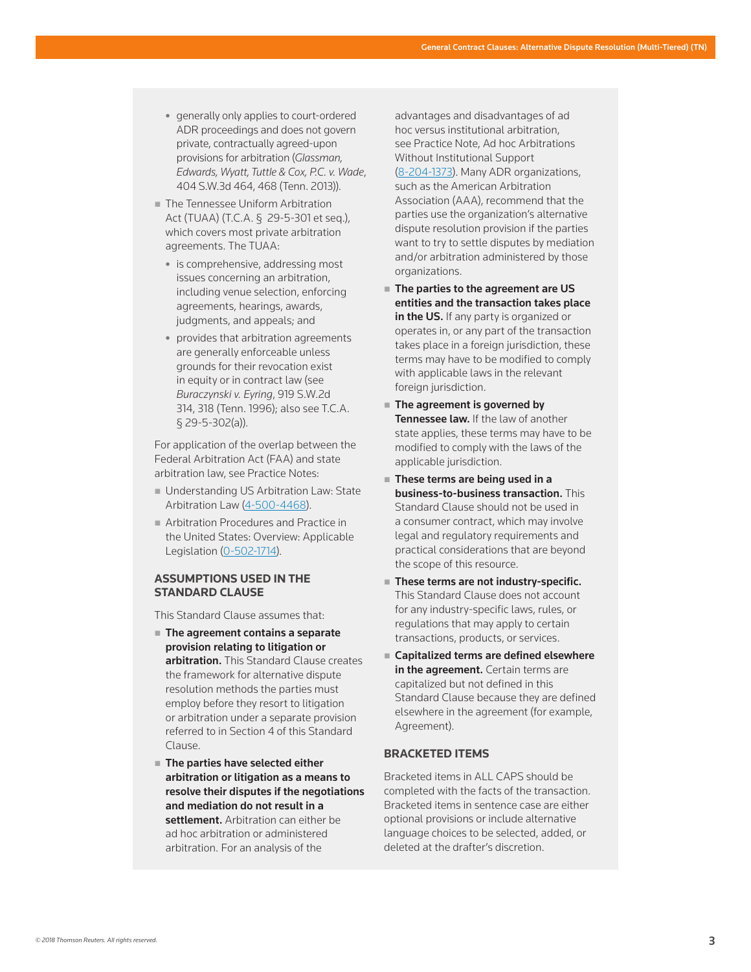- generally only applies to court-ordered ADR proceedings and does not govern private, contractually agreed-upon provisions for arbitration (*Glassman, Edwards, Wyatt, Tuttle & Cox, P.C. v. Wade*, 404 S.W.3d 464, 468 (Tenn. 2013)).
- **The Tennessee Uniform Arbitration** Act (TUAA) (T.C.A. § 29-5-301 et seq.), which covers most private arbitration agreements. The TUAA:
	- is comprehensive, addressing most issues concerning an arbitration, including venue selection, enforcing agreements, hearings, awards, judgments, and appeals; and
	- **provides that arbitration agreements** are generally enforceable unless grounds for their revocation exist in equity or in contract law (see *Buraczynski v. Eyring*, 919 S.W.2d 314, 318 (Tenn. 1996); also see T.C.A. § 29-5-302(a)).

For application of the overlap between the Federal Arbitration Act (FAA) and state arbitration law, see Practice Notes:

- **Understanding US Arbitration Law: State** Arbitration Law (4-500-4468).
- **Arbitration Procedures and Practice in** the United States: Overview: Applicable Legislation (0-502-1714).

#### **ASSUMPTIONS USED IN THE STANDARD CLAUSE**

This Standard Clause assumes that:

- The agreement contains a separate provision relating to litigation or arbitration. This Standard Clause creates the framework for alternative dispute resolution methods the parties must employ before they resort to litigation or arbitration under a separate provision referred to in Section 4 of this Standard Clause.
- The parties have selected either arbitration or litigation as a means to resolve their disputes if the negotiations and mediation do not result in a settlement. Arbitration can either be ad hoc arbitration or administered arbitration. For an analysis of the

advantages and disadvantages of ad hoc versus institutional arbitration, see Practice Note, Ad hoc Arbitrations Without Institutional Support (8-204-1373). Many ADR organizations, such as the American Arbitration Association (AAA), recommend that the parties use the organization's alternative dispute resolution provision if the parties want to try to settle disputes by mediation and/or arbitration administered by those organizations.

- The parties to the agreement are US entities and the transaction takes place in the US. If any party is organized or operates in, or any part of the transaction takes place in a foreign jurisdiction, these terms may have to be modified to comply with applicable laws in the relevant foreign jurisdiction.
- The agreement is governed by Tennessee law. If the law of another state applies, these terms may have to be modified to comply with the laws of the applicable jurisdiction.
- These terms are being used in a business-to-business transaction. This Standard Clause should not be used in a consumer contract, which may involve legal and regulatory requirements and practical considerations that are beyond the scope of this resource.
- These terms are not industry-specific. This Standard Clause does not account for any industry-specific laws, rules, or regulations that may apply to certain transactions, products, or services.
- Capitalized terms are defined elsewhere in the agreement. Certain terms are capitalized but not defined in this Standard Clause because they are defined elsewhere in the agreement (for example, Agreement).

#### **BRACKETED ITEMS**

Bracketed items in ALL CAPS should be completed with the facts of the transaction. Bracketed items in sentence case are either optional provisions or include alternative language choices to be selected, added, or deleted at the drafter's discretion.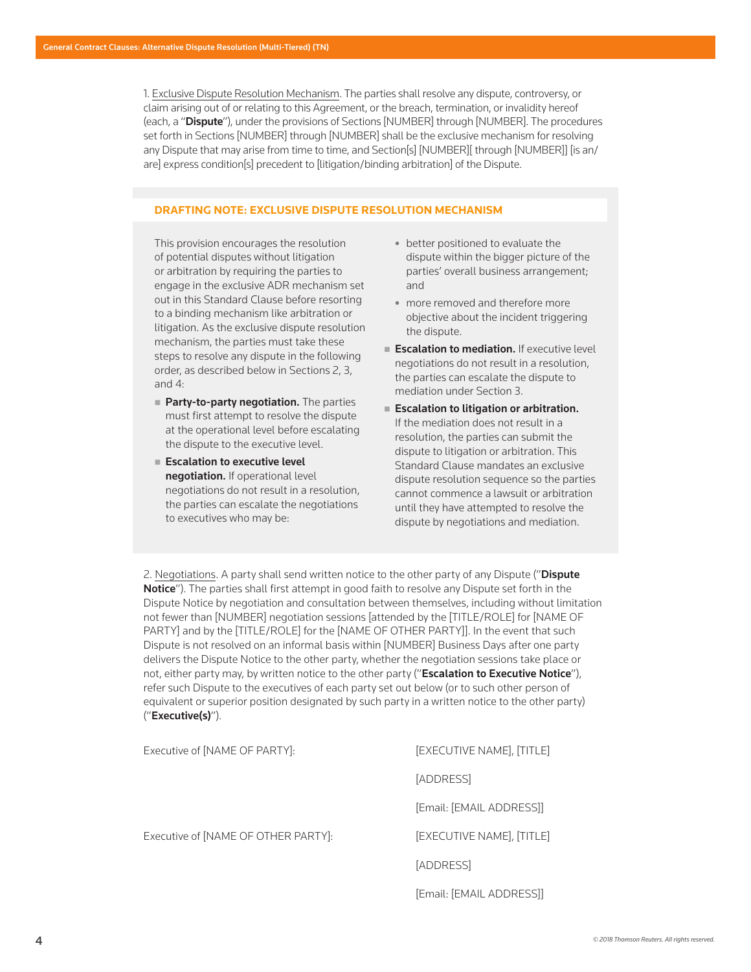1. Exclusive Dispute Resolution Mechanism. The parties shall resolve any dispute, controversy, or claim arising out of or relating to this Agreement, or the breach, termination, or invalidity hereof (each, a "Dispute"), under the provisions of Sections [NUMBER] through [NUMBER]. The procedures set forth in Sections [NUMBER] through [NUMBER] shall be the exclusive mechanism for resolving any Dispute that may arise from time to time, and Section[s] [NUMBER][ through [NUMBER]] [is an/ are] express condition[s] precedent to [litigation/binding arbitration] of the Dispute.

#### **DRAFTING NOTE: EXCLUSIVE DISPUTE RESOLUTION MECHANISM**

This provision encourages the resolution of potential disputes without litigation or arbitration by requiring the parties to engage in the exclusive ADR mechanism set out in this Standard Clause before resorting to a binding mechanism like arbitration or litigation. As the exclusive dispute resolution mechanism, the parties must take these steps to resolve any dispute in the following order, as described below in Sections 2, 3, and 4:

- **Party-to-party negotiation.** The parties must first attempt to resolve the dispute at the operational level before escalating the dispute to the executive level.
- **Escalation to executive level** negotiation. If operational level negotiations do not result in a resolution, the parties can escalate the negotiations to executives who may be:
- $\bullet$  better positioned to evaluate the dispute within the bigger picture of the parties' overall business arrangement; and
- more removed and therefore more objective about the incident triggering the dispute.
- **Escalation to mediation.** If executive level negotiations do not result in a resolution, the parties can escalate the dispute to mediation under Section 3.
- **Escalation to litigation or arbitration.** If the mediation does not result in a resolution, the parties can submit the dispute to litigation or arbitration. This Standard Clause mandates an exclusive dispute resolution sequence so the parties cannot commence a lawsuit or arbitration until they have attempted to resolve the dispute by negotiations and mediation.

[Email: [EMAIL ADDRESS]]

2. Negotiations. A party shall send written notice to the other party of any Dispute ("Dispute **Notice**"). The parties shall first attempt in good faith to resolve any Dispute set forth in the Dispute Notice by negotiation and consultation between themselves, including without limitation not fewer than [NUMBER] negotiation sessions [attended by the [TITLE/ROLE] for [NAME OF PARTY] and by the [TITLE/ROLE] for the [NAME OF OTHER PARTY]]. In the event that such Dispute is not resolved on an informal basis within [NUMBER] Business Days after one party delivers the Dispute Notice to the other party, whether the negotiation sessions take place or not, either party may, by written notice to the other party ("Escalation to Executive Notice"), refer such Dispute to the executives of each party set out below (or to such other person of equivalent or superior position designated by such party in a written notice to the other party) ("Executive(s)").

| Executive of [NAME OF PARTY]:       | [EXECUTIVE NAME], [TITLE] |
|-------------------------------------|---------------------------|
|                                     | [ADDRESS]                 |
|                                     | [Email: [EMAIL ADDRESS]]  |
| Executive of [NAME OF OTHER PARTY]: | [EXECUTIVE NAME], [TITLE] |
|                                     | [ADDRESS]                 |
|                                     |                           |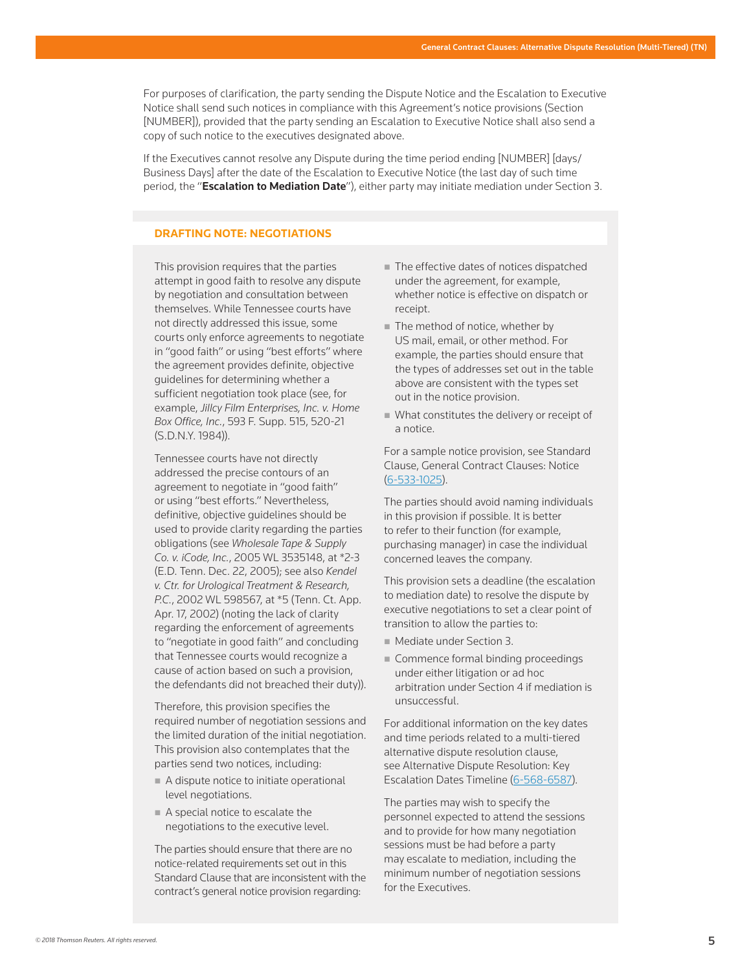For purposes of clarification, the party sending the Dispute Notice and the Escalation to Executive Notice shall send such notices in compliance with this Agreement's notice provisions (Section [NUMBER]), provided that the party sending an Escalation to Executive Notice shall also send a copy of such notice to the executives designated above.

If the Executives cannot resolve any Dispute during the time period ending [NUMBER] [days/ Business Days] after the date of the Escalation to Executive Notice (the last day of such time period, the "Escalation to Mediation Date"), either party may initiate mediation under Section 3.

## **DRAFTING NOTE: NEGOTIATIONS**

This provision requires that the parties attempt in good faith to resolve any dispute by negotiation and consultation between themselves. While Tennessee courts have not directly addressed this issue, some courts only enforce agreements to negotiate in "good faith" or using "best efforts" where the agreement provides definite, objective guidelines for determining whether a sufficient negotiation took place (see, for example, *Jillcy Film Enterprises, Inc. v. Home Box Office, Inc.*, 593 F. Supp. 515, 520-21 (S.D.N.Y. 1984)).

Tennessee courts have not directly addressed the precise contours of an agreement to negotiate in "good faith" or using "best efforts." Nevertheless, definitive, objective guidelines should be used to provide clarity regarding the parties obligations (see *Wholesale Tape & Supply Co. v. iCode, Inc.*, 2005 WL 3535148, at \*2-3 (E.D. Tenn. Dec. 22, 2005); see also *Kendel v. Ctr. for Urological Treatment & Research, P.C.*, 2002 WL 598567, at \*5 (Tenn. Ct. App. Apr. 17, 2002) (noting the lack of clarity regarding the enforcement of agreements to "negotiate in good faith" and concluding that Tennessee courts would recognize a cause of action based on such a provision, the defendants did not breached their duty)).

Therefore, this provision specifies the required number of negotiation sessions and the limited duration of the initial negotiation. This provision also contemplates that the parties send two notices, including:

- A dispute notice to initiate operational level negotiations.
- A special notice to escalate the negotiations to the executive level.

The parties should ensure that there are no notice-related requirements set out in this Standard Clause that are inconsistent with the contract's general notice provision regarding:

- The effective dates of notices dispatched under the agreement, for example, whether notice is effective on dispatch or receipt.
- The method of notice, whether by US mail, email, or other method. For example, the parties should ensure that the types of addresses set out in the table above are consistent with the types set out in the notice provision.
- What constitutes the delivery or receipt of a notice.

For a sample notice provision, see Standard Clause, General Contract Clauses: Notice (6-533-1025).

The parties should avoid naming individuals in this provision if possible. It is better to refer to their function (for example, purchasing manager) in case the individual concerned leaves the company.

This provision sets a deadline (the escalation to mediation date) to resolve the dispute by executive negotiations to set a clear point of transition to allow the parties to:

- Mediate under Section 3.
- Commence formal binding proceedings under either litigation or ad hoc arbitration under Section 4 if mediation is unsuccessful.

For additional information on the key dates and time periods related to a multi-tiered alternative dispute resolution clause, see Alternative Dispute Resolution: Key Escalation Dates Timeline (6-568-6587).

The parties may wish to specify the personnel expected to attend the sessions and to provide for how many negotiation sessions must be had before a party may escalate to mediation, including the minimum number of negotiation sessions for the Executives.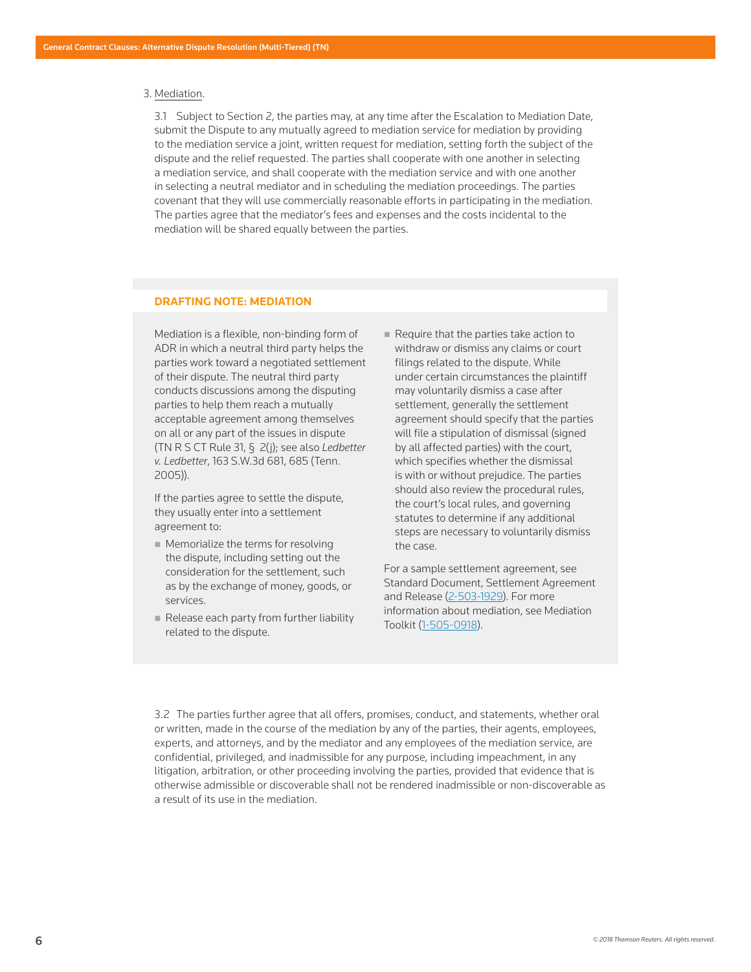#### 3. Mediation.

 3.1 Subject to Section 2, the parties may, at any time after the Escalation to Mediation Date, submit the Dispute to any mutually agreed to mediation service for mediation by providing to the mediation service a joint, written request for mediation, setting forth the subject of the dispute and the relief requested. The parties shall cooperate with one another in selecting a mediation service, and shall cooperate with the mediation service and with one another in selecting a neutral mediator and in scheduling the mediation proceedings. The parties covenant that they will use commercially reasonable efforts in participating in the mediation. The parties agree that the mediator's fees and expenses and the costs incidental to the mediation will be shared equally between the parties.

#### **DRAFTING NOTE: MEDIATION**

Mediation is a flexible, non-binding form of ADR in which a neutral third party helps the parties work toward a negotiated settlement of their dispute. The neutral third party conducts discussions among the disputing parties to help them reach a mutually acceptable agreement among themselves on all or any part of the issues in dispute (TN R S CT Rule 31, § 2(j); see also *Ledbetter v. Ledbetter*, 163 S.W.3d 681, 685 (Tenn. 2005)).

If the parties agree to settle the dispute, they usually enter into a settlement agreement to:

- **Memorialize the terms for resolving** the dispute, including setting out the consideration for the settlement, such as by the exchange of money, goods, or services.
- Release each party from further liability related to the dispute.
- $\blacksquare$  Require that the parties take action to withdraw or dismiss any claims or court filings related to the dispute. While under certain circumstances the plaintiff may voluntarily dismiss a case after settlement, generally the settlement agreement should specify that the parties will file a stipulation of dismissal (signed by all affected parties) with the court, which specifies whether the dismissal is with or without prejudice. The parties should also review the procedural rules, the court's local rules, and governing statutes to determine if any additional steps are necessary to voluntarily dismiss the case.

For a sample settlement agreement, see Standard Document, Settlement Agreement and Release (2-503-1929). For more information about mediation, see Mediation Toolkit (1-505-0918).

 3.2 The parties further agree that all offers, promises, conduct, and statements, whether oral or written, made in the course of the mediation by any of the parties, their agents, employees, experts, and attorneys, and by the mediator and any employees of the mediation service, are confidential, privileged, and inadmissible for any purpose, including impeachment, in any litigation, arbitration, or other proceeding involving the parties, provided that evidence that is otherwise admissible or discoverable shall not be rendered inadmissible or non-discoverable as a result of its use in the mediation.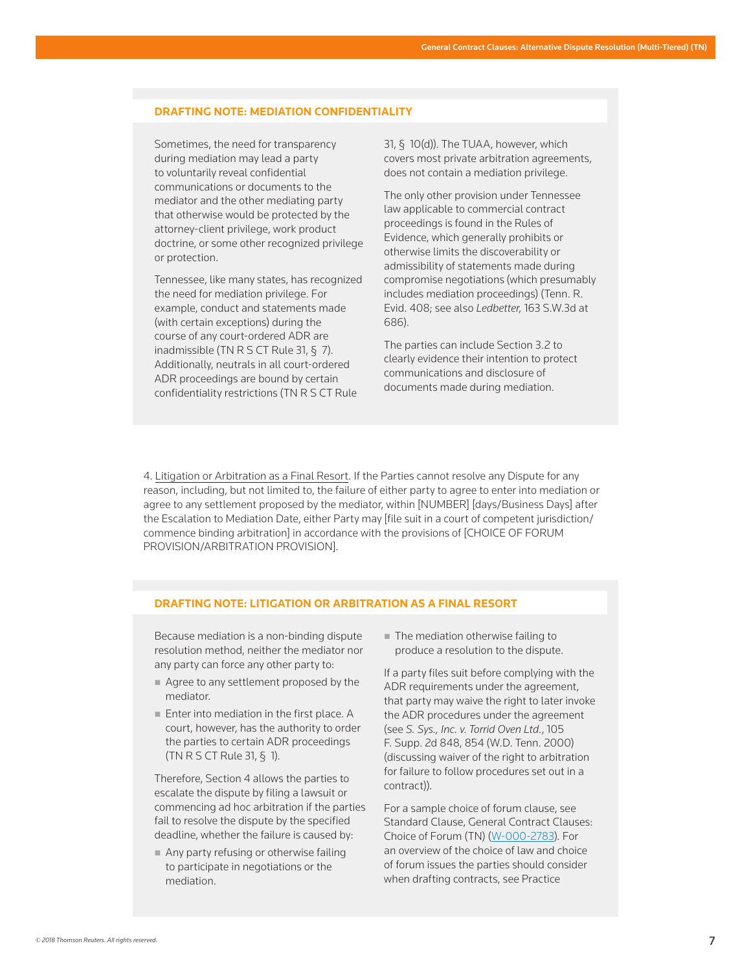#### **DRAFTING NOTE: MEDIATION CONFIDENTIALITY**

Sometimes, the need for transparency during mediation may lead a party to voluntarily reveal confidential communications or documents to the mediator and the other mediating party that otherwise would be protected by the attorney-client privilege, work product doctrine, or some other recognized privilege or protection.

Tennessee, like many states, has recognized the need for mediation privilege. For example, conduct and statements made (with certain exceptions) during the course of any court-ordered ADR are inadmissible (TN R S CT Rule 31, § 7). Additionally, neutrals in all court-ordered ADR proceedings are bound by certain confidentiality restrictions (TN R S CT Rule

31, § 10(d)). The TUAA, however, which covers most private arbitration agreements, does not contain a mediation privilege.

The only other provision under Tennessee law applicable to commercial contract proceedings is found in the Rules of Evidence, which generally prohibits or otherwise limits the discoverability or admissibility of statements made during compromise negotiations (which presumably includes mediation proceedings) (Tenn. R. Evid. 408; see also *Ledbetter,* 163 S.W.3d at 686).

The parties can include Section 3.2 to clearly evidence their intention to protect communications and disclosure of documents made during mediation.

4. Litigation or Arbitration as a Final Resort. If the Parties cannot resolve any Dispute for any reason, including, but not limited to, the failure of either party to agree to enter into mediation or agree to any settlement proposed by the mediator, within [NUMBER] [days/Business Days] after the Escalation to Mediation Date, either Party may [file suit in a court of competent jurisdiction/ commence binding arbitration] in accordance with the provisions of [CHOICE OF FORUM PROVISION/ARBITRATION PROVISION].

#### **DRAFTING NOTE: LITIGATION OR ARBITRATION AS A FINAL RESORT**

Because mediation is a non-binding dispute resolution method, neither the mediator nor any party can force any other party to:

- Agree to any settlement proposed by the mediator.
- **Enter into mediation in the first place. A** court, however, has the authority to order the parties to certain ADR proceedings (TN R S CT Rule 31, § 1).

Therefore, Section 4 allows the parties to escalate the dispute by filing a lawsuit or commencing ad hoc arbitration if the parties fail to resolve the dispute by the specified deadline, whether the failure is caused by:

Any party refusing or otherwise failing to participate in negotiations or the mediation.

■ The mediation otherwise failing to produce a resolution to the dispute.

If a party files suit before complying with the ADR requirements under the agreement, that party may waive the right to later invoke the ADR procedures under the agreement (see *S. Sys., Inc. v. Torrid Oven Ltd.*, 105 F. Supp. 2d 848, 854 (W.D. Tenn. 2000) (discussing waiver of the right to arbitration for failure to follow procedures set out in a contract)).

For a sample choice of forum clause, see Standard Clause, General Contract Clauses: Choice of Forum (TN) (W-000-2783). For an overview of the choice of law and choice of forum issues the parties should consider when drafting contracts, see Practice